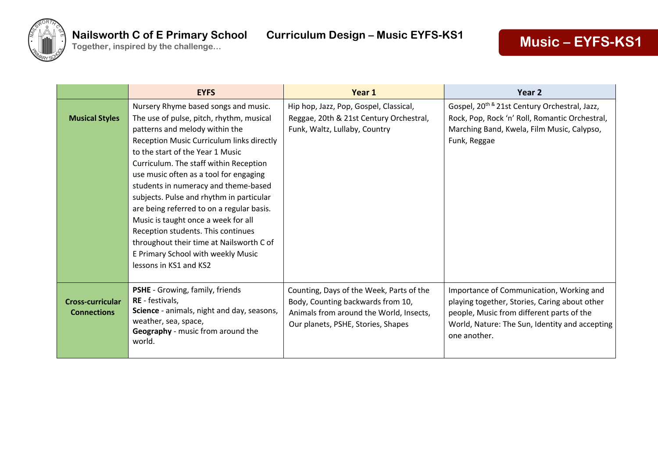

|                                               | <b>EYFS</b>                                                                                                                                                                                                                                                                                                                                                                                                                                                                                                                                                                                                       | Year 1                                                                                                                                                         | Year 2                                                                                                                                                                                                   |
|-----------------------------------------------|-------------------------------------------------------------------------------------------------------------------------------------------------------------------------------------------------------------------------------------------------------------------------------------------------------------------------------------------------------------------------------------------------------------------------------------------------------------------------------------------------------------------------------------------------------------------------------------------------------------------|----------------------------------------------------------------------------------------------------------------------------------------------------------------|----------------------------------------------------------------------------------------------------------------------------------------------------------------------------------------------------------|
| <b>Musical Styles</b>                         | Nursery Rhyme based songs and music.<br>The use of pulse, pitch, rhythm, musical<br>patterns and melody within the<br>Reception Music Curriculum links directly<br>to the start of the Year 1 Music<br>Curriculum. The staff within Reception<br>use music often as a tool for engaging<br>students in numeracy and theme-based<br>subjects. Pulse and rhythm in particular<br>are being referred to on a regular basis.<br>Music is taught once a week for all<br>Reception students. This continues<br>throughout their time at Nailsworth C of<br>E Primary School with weekly Music<br>lessons in KS1 and KS2 | Hip hop, Jazz, Pop, Gospel, Classical,<br>Reggae, 20th & 21st Century Orchestral,<br>Funk, Waltz, Lullaby, Country                                             | Gospel, 20 <sup>th &amp;</sup> 21st Century Orchestral, Jazz,<br>Rock, Pop, Rock 'n' Roll, Romantic Orchestral,<br>Marching Band, Kwela, Film Music, Calypso,<br>Funk, Reggae                            |
| <b>Cross-curricular</b><br><b>Connections</b> | <b>PSHE</b> - Growing, family, friends<br>RE - festivals,<br>Science - animals, night and day, seasons,<br>weather, sea, space,<br>Geography - music from around the<br>world.                                                                                                                                                                                                                                                                                                                                                                                                                                    | Counting, Days of the Week, Parts of the<br>Body, Counting backwards from 10,<br>Animals from around the World, Insects,<br>Our planets, PSHE, Stories, Shapes | Importance of Communication, Working and<br>playing together, Stories, Caring about other<br>people, Music from different parts of the<br>World, Nature: The Sun, Identity and accepting<br>one another. |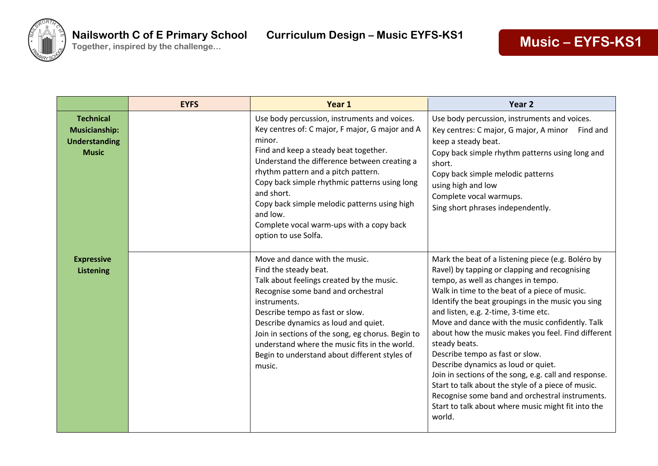

|                                                                                  | <b>EYFS</b> | Year 1                                                                                                                                                                                                                                                                                                                                                                                                                                   | Year <sub>2</sub>                                                                                                                                                                                                                                                                                                                                                                                                                                                                                                                                                                                                                                                                                                              |
|----------------------------------------------------------------------------------|-------------|------------------------------------------------------------------------------------------------------------------------------------------------------------------------------------------------------------------------------------------------------------------------------------------------------------------------------------------------------------------------------------------------------------------------------------------|--------------------------------------------------------------------------------------------------------------------------------------------------------------------------------------------------------------------------------------------------------------------------------------------------------------------------------------------------------------------------------------------------------------------------------------------------------------------------------------------------------------------------------------------------------------------------------------------------------------------------------------------------------------------------------------------------------------------------------|
| <b>Technical</b><br><b>Musicianship:</b><br><b>Understanding</b><br><b>Music</b> |             | Use body percussion, instruments and voices.<br>Key centres of: C major, F major, G major and A<br>minor.<br>Find and keep a steady beat together.<br>Understand the difference between creating a<br>rhythm pattern and a pitch pattern.<br>Copy back simple rhythmic patterns using long<br>and short.<br>Copy back simple melodic patterns using high<br>and low.<br>Complete vocal warm-ups with a copy back<br>option to use Solfa. | Use body percussion, instruments and voices.<br>Key centres: C major, G major, A minor Find and<br>keep a steady beat.<br>Copy back simple rhythm patterns using long and<br>short.<br>Copy back simple melodic patterns<br>using high and low<br>Complete vocal warmups.<br>Sing short phrases independently.                                                                                                                                                                                                                                                                                                                                                                                                                 |
| <b>Expressive</b><br><b>Listening</b>                                            |             | Move and dance with the music.<br>Find the steady beat.<br>Talk about feelings created by the music.<br>Recognise some band and orchestral<br>instruments.<br>Describe tempo as fast or slow.<br>Describe dynamics as loud and quiet.<br>Join in sections of the song, eg chorus. Begin to<br>understand where the music fits in the world.<br>Begin to understand about different styles of<br>music.                                   | Mark the beat of a listening piece (e.g. Boléro by<br>Ravel) by tapping or clapping and recognising<br>tempo, as well as changes in tempo.<br>Walk in time to the beat of a piece of music.<br>Identify the beat groupings in the music you sing<br>and listen, e.g. 2-time, 3-time etc.<br>Move and dance with the music confidently. Talk<br>about how the music makes you feel. Find different<br>steady beats.<br>Describe tempo as fast or slow.<br>Describe dynamics as loud or quiet.<br>Join in sections of the song, e.g. call and response.<br>Start to talk about the style of a piece of music.<br>Recognise some band and orchestral instruments.<br>Start to talk about where music might fit into the<br>world. |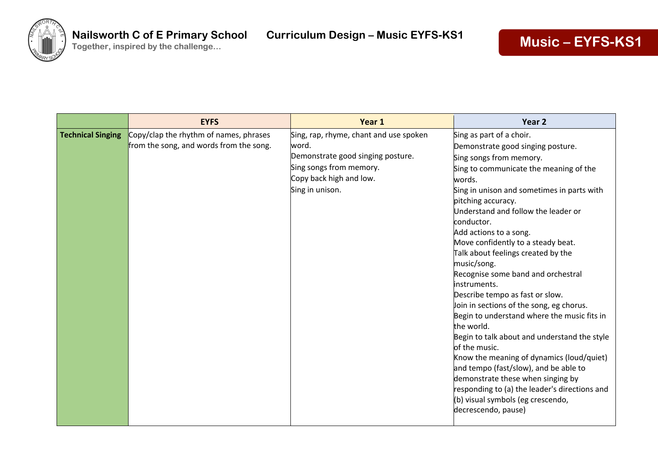

|                          | <b>EYFS</b>                                                                       | Year 1                                                                                                                                                        | Year 2                                                                                                                                                                                                                                                                                                                                                                                                                                                                                                                                                                                                                                                                                                                                                                                                                                                                                                 |
|--------------------------|-----------------------------------------------------------------------------------|---------------------------------------------------------------------------------------------------------------------------------------------------------------|--------------------------------------------------------------------------------------------------------------------------------------------------------------------------------------------------------------------------------------------------------------------------------------------------------------------------------------------------------------------------------------------------------------------------------------------------------------------------------------------------------------------------------------------------------------------------------------------------------------------------------------------------------------------------------------------------------------------------------------------------------------------------------------------------------------------------------------------------------------------------------------------------------|
| <b>Technical Singing</b> | Copy/clap the rhythm of names, phrases<br>from the song, and words from the song. | Sing, rap, rhyme, chant and use spoken<br>word.<br>Demonstrate good singing posture.<br>Sing songs from memory.<br>Copy back high and low.<br>Sing in unison. | Sing as part of a choir.<br>Demonstrate good singing posture.<br>Sing songs from memory.<br>Sing to communicate the meaning of the<br>words.<br>Sing in unison and sometimes in parts with<br>pitching accuracy.<br>Understand and follow the leader or<br>conductor.<br>Add actions to a song.<br>Move confidently to a steady beat.<br>Talk about feelings created by the<br>music/song.<br>Recognise some band and orchestral<br>linstruments.<br>Describe tempo as fast or slow.<br>Join in sections of the song, eg chorus.<br>Begin to understand where the music fits in<br>the world.<br>Begin to talk about and understand the style<br>of the music.<br>Know the meaning of dynamics (loud/quiet)<br>and tempo (fast/slow), and be able to<br>demonstrate these when singing by<br>responding to (a) the leader's directions and<br>(b) visual symbols (eg crescendo,<br>decrescendo, pause) |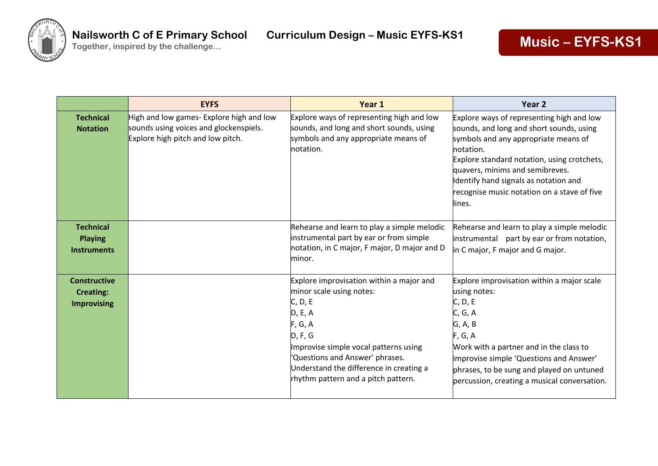

|                                                               | <b>EYFS</b>                                                                                                             | Year 1                                                                                                                                                                                                                                                                         | Year <sub>2</sub>                                                                                                                                                                                                                                                                                                              |
|---------------------------------------------------------------|-------------------------------------------------------------------------------------------------------------------------|--------------------------------------------------------------------------------------------------------------------------------------------------------------------------------------------------------------------------------------------------------------------------------|--------------------------------------------------------------------------------------------------------------------------------------------------------------------------------------------------------------------------------------------------------------------------------------------------------------------------------|
| <b>Technical</b><br><b>Notation</b>                           | High and low games- Explore high and low<br>sounds using voices and glockenspiels.<br>Explore high pitch and low pitch. | Explore ways of representing high and low<br>sounds, and long and short sounds, using<br>symbols and any appropriate means of<br>notation.                                                                                                                                     | Explore ways of representing high and low<br>sounds, and long and short sounds, using<br>symbols and any appropriate means of<br>notation.<br>Explore standard notation, using crotchets,<br>quavers, minims and semibreves.<br>Identify hand signals as notation and<br>recognise music notation on a stave of five<br>lines. |
| <b>Technical</b><br><b>Playing</b><br><b>Instruments</b>      |                                                                                                                         | Rehearse and learn to play a simple melodic<br>instrumental part by ear or from simple<br>notation, in C major, F major, D major and D<br>minor.                                                                                                                               | Rehearse and learn to play a simple melodic<br>instrumental part by ear or from notation,<br>in C major, F major and G major.                                                                                                                                                                                                  |
| <b>Constructive</b><br><b>Creating:</b><br><b>Improvising</b> |                                                                                                                         | Explore improvisation within a major and<br>minor scale using notes:<br>C, D, E<br>D, E, A<br>F, G, A<br>D, F, G<br>Improvise simple vocal patterns using<br>'Questions and Answer' phrases.<br>Understand the difference in creating a<br>rhythm pattern and a pitch pattern. | Explore improvisation within a major scale<br>using notes:<br>C, D, E<br>C, G, A<br>G, A, B<br>F, G, A<br>Work with a partner and in the class to<br>improvise simple 'Questions and Answer'<br>phrases, to be sung and played on untuned<br>percussion, creating a musical conversation.                                      |